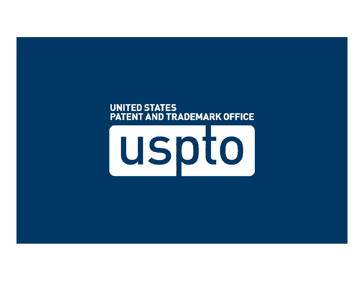#### **UNITED STATES** PATENT AND TRADEMARK OFFICE

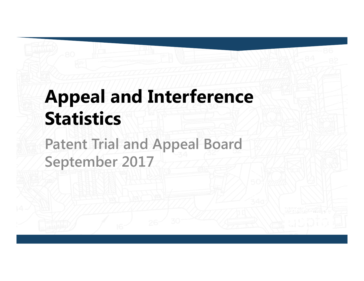# **Appeal and Interference Statistics**

**Patent Trial and Appeal Board September 2017**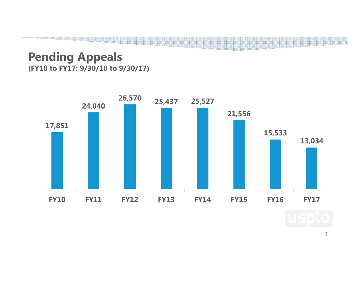#### **Pending Appeals (FY10 to FY17: 9/30/10 to 9/30/17)**



3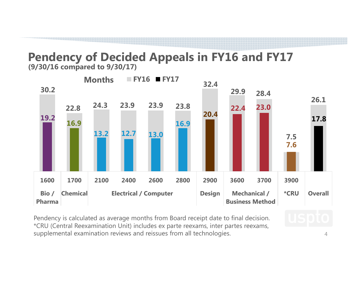## **Pendency of Decided Appeals in FY16 and FY17** (9/30/16 compared to 9/30/17)



Pendency is calculated as average months from Board receipt date to final decision. \*CRU (Central Reexamination Unit) includes ex parte reexams, inter partes reexams, supplemental examination reviews and reissues from all technologies.

4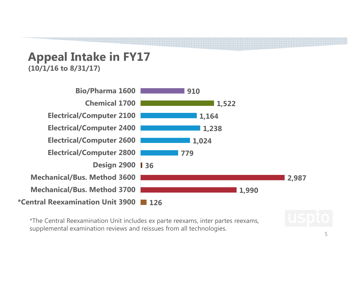### **Appeal Intake in FY17 (10/1/16 to 8/31/17)**



\*The Central Reexamination Unit includes ex parte reexams, inter partes reexams, supplemental examination reviews and reissues from all technologies.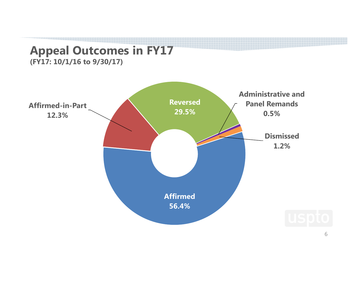### **Appeal Outcomes in FY17**

**(FY17: 10/1/16 to 9/30/17)** 

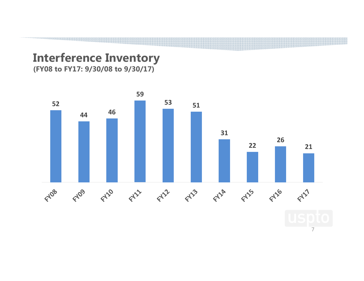### **Interference Inventory**

**(FY08 to FY17: 9/30/08 to 9/30/17)**